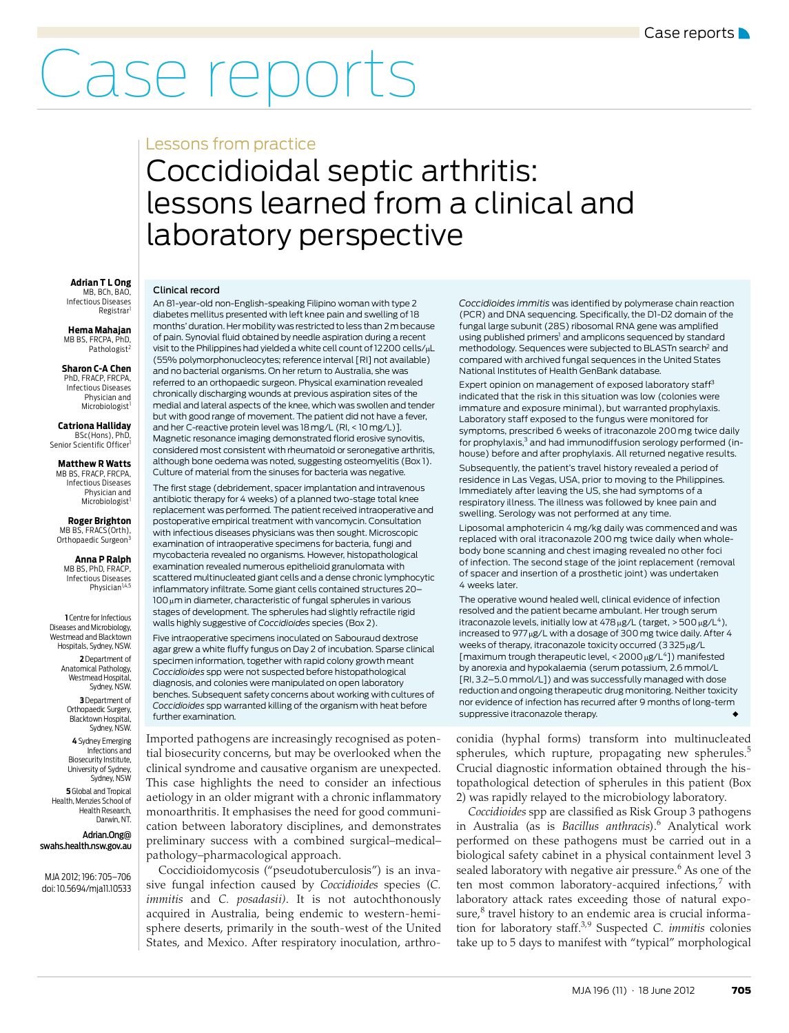# Case reports

### Lessons from practice

## <span id="page-0-0"></span>Coccidioidal septic arthritis: lessons learned from a clinical and laboratory perspective

#### **Adrian T L Ong** MB, BCh, BAO,

Infectious Diseases Registrar

**Hema Mahajan** MB BS, FRCPA, PhD Pathologist<sup>2</sup>

**Sharon C-A Chen** PhD, FRACP, FRCPA

Infectious Diseases Physician and Microbiologist<sup>1</sup>

**Catriona Halliday** BSc(Hons), PhD,

Senior Scientific Officer

**Matthew R Watts** MB BS, FRACP, FRCPA, Infectious Diseases Physician and Microbiologist<sup>1</sup>

**Roger Brighton** MB BS, FRACS(Orth), Orthopaedic Surgeon<sup>3</sup>

**Anna P Ralph** MB BS, PhD, FRACP Infectious Diseases Physician<sup>1,4,5</sup>

**1** Centre for Infectious Diseases and Microbiology, Westmead and Blacktown Hospitals, Sydney, NSW.

> **2** Department of Anatomical Pathology, Westmead Hospital Sydney, NSW.

**3** Department of Orthopaedic Surgery, Blacktown Hospital Sydney, NSW.

**4** Sydney Emerging Infections and Biosecurity Institute, University of Sydney, Sydney, NSW **5** Global and Tropical Health, Menzies School of Health Research, Darwin, NT.

Adrian.Ong@ swahs.health.nsw.gov.au

MJA 2012; 196: 705–706 doi: 10.5694/mja11.10533 Clinical record

An 81-year-old non-English-speaking Filipino woman with type 2 diabetes mellitus presented with left knee pain and swelling of 18 months' duration. Her mobility was restricted to less than 2m because of pain. Synovial fluid obtained by needle aspiration during a recent visit to the Philippines had yielded a white cell count of 12200 cells/uL (55% polymorphonucleocytes; reference interval [RI] not available) and no bacterial organisms. On her return to Australia, she was referred to an orthopaedic surgeon. Physical examination revealed chronically discharging wounds at previous aspiration sites of the medial and lateral aspects of the knee, which was swollen and tender but with good range of movement. The patient did not have a fever, and her C-reactive protein level was 18 mg/L (RI, < 10 mg/L)]. Magnetic resonance imaging demonstrated florid erosive synovitis, considered most consistent with rheumatoid or seronegative arthritis, although bone oedema was noted, suggesting osteomyelitis ([Box 1](#page-1-8)). Culture of material from the sinuses for bacteria was negative.

The first stage (debridement, spacer implantation and intravenous antibiotic therapy for 4 weeks) of a planned two-stage total knee replacement was performed. The patient received intraoperative and postoperative empirical treatment with vancomycin. Consultation with infectious diseases physicians was then sought. Microscopic examination of intraoperative specimens for bacteria, fungi and mycobacteria revealed no organisms. However, histopathological examination revealed numerous epithelioid granulomata with scattered multinucleated giant cells and a dense chronic lymphocytic inflammatory infiltrate. Some giant cells contained structures 20–  $100 \,\mu$ m in diameter, characteristic of fungal spherules in various stages of development. The spherules had slightly refractile rigid walls highly suggestive of *Coccidioides* species [\(Box 2](#page-1-7)).

Five intraoperative specimens inoculated on Sabouraud dextrose agar grew a white fluffy fungus on Day 2 of incubation. Sparse clinical specimen information, together with rapid colony growth meant *Coccidioides* spp were not suspected before histopathological diagnosis, and colonies were manipulated on open laboratory benches. Subsequent safety concerns about working with cultures of *Coccidioides* spp warranted killing of the organism with heat before further examination.

Imported pathogens are increasingly recognised as potential biosecurity concerns, but may be overlooked when the clinical syndrome and causative organism are unexpected. This case highlights the need to consider an infectious aetiology in an older migrant with a chronic inflammatory monoarthritis. It emphasises the need for good communication between laboratory disciplines, and demonstrates preliminary success with a combined surgical–medical– pathology–pharmacological approach.

196:705–706 Secondon of Australia I[nfec](#page-0-0)[tion](#page-1-6) Caused by *Coccidioides* species (*C.*)  $4/m$ all.10533  $3/m$   $\ldots$   $1/m$ *immitis* and *C. posadasii*). It is not autochthonously  $\mid$  acquired in Australia, being endemic to western-hemi- $\mid$  sphere deserts, primarily in the south-west of the United Coccidioidomycosis ("pseudotuberculosis") is an inva-States, and Mexico. After respiratory inoculation, arthro-

*Coccidioides immitis* was identified by polymerase chain reaction (PCR) and DNA sequencing. Specifically, the D1-D2 domain of the fungal large subunit (28S) ribosomal RNA gene was amplified using published primers<sup>1</sup> and amplicons sequenced by standard methodology. Sequences were subjected to BLASTn search<sup>2</sup> and compared with archived fungal sequences in the United States National Institutes of Health GenBank database.

Expert opinion on management of exposed laboratory staff<sup>3</sup> indicated that the risk in this situation was low (colonies were immature and exposure minimal), but warranted prophylaxis. Laboratory staff exposed to the fungus were monitored for symptoms, prescribed 6 weeks of itraconazole 200 mg twice daily for prophylaxis,<sup>3</sup> and had immunodiffusion serology performed (inhouse) before and after prophylaxis. All returned negative results.

Subsequently, the patient's travel history revealed a period of residence in Las Vegas, USA, prior to moving to the Philippines. Immediately after leaving the US, she had symptoms of a respiratory illness. The illness was followed by knee pain and swelling. Serology was not performed at any time.

Liposomal amphotericin 4 mg/kg daily was commenced and was replaced with oral itraconazole 200 mg twice daily when wholebody bone scanning and chest imaging revealed no other foci of infection. The second stage of the joint replacement (removal of spacer and insertion of a prosthetic joint) was undertaken 4 weeks later.

The operative wound healed well, clinical evidence of infection resolved and the patient became ambulant. Her trough serum itraconazole levels, initially low at  $478 \mu g/L$  (target,  $> 500 \mu g/L^4$ ), increased to 977µg/L with a dosage of 300 mg twice daily. After 4 weeks of therapy, itraconazole toxicity occurred  $(3325 \mu\text{g/L})$ [maximum trough therapeutic level,  $<$  2000  $\mu$ g/L<sup>4</sup>]) manifested by anorexia and hypokalaemia (serum potassium, 2.6 mmol/L [RI, 3.2–5.0 mmol/L]) and was successfully managed with dose reduction and ongoing therapeutic drug monitoring. Neither toxicity nor evidence of infection has recurred after 9 months of long-term suppressive itraconazole therapy.

conidia (hyphal forms) transform into multinucleated spherules, which rupture, propagating new spherules.<sup>[5](#page-1-0)</sup> Crucial diagnostic information obtained through the histopathological detection of spherules in this patient ([Box](#page-1-7) [2\)](#page-1-7) was rapidly relayed to the microbiology laboratory.

*Coccidioides* spp are classified as Risk Group 3 pathogens in Australia (as is *Bacillus anthracis*).[6](#page-1-1) Analytical work performed on these pathogens must be carried out in a biological safety cabinet in a physical containment level 3 sealed laboratory with negative air pressure.<sup>[6](#page-1-1)</sup> As one of the ten most common laboratory-acquired infections,<sup>[7](#page-1-2)</sup> with laboratory attack rates exceeding those of natural exposure, $^8$  $^8$  travel history to an endemic area is crucial information for laboratory staff[.3,](#page-1-4)[9](#page-1-5) Suspected *C. immitis* colonies take up to 5 days to manifest with "typical" morphological